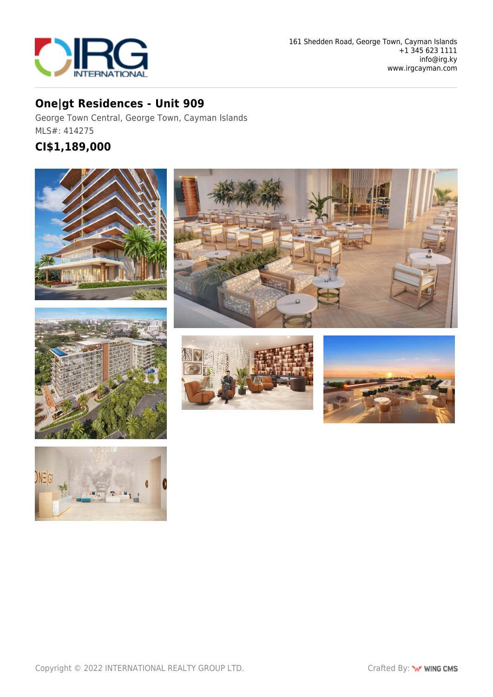

## **One|gt Residences - Unit 909**

George Town Central, George Town, Cayman Islands MLS#: 414275

## **CI\$1,189,000**

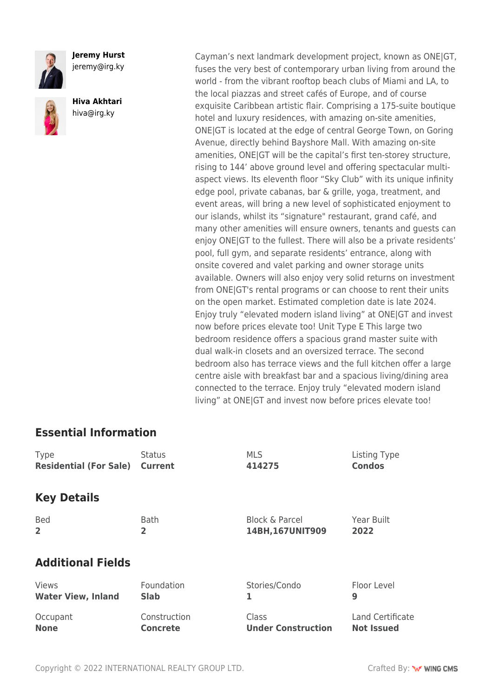

**Jeremy Hurst** jeremy@irg.ky

**Hiva Akhtari** hiva@irg.ky

Cayman's next landmark development project, known as ONE|GT, fuses the very best of contemporary urban living from around the world - from the vibrant rooftop beach clubs of Miami and LA, to the local piazzas and street cafés of Europe, and of course exquisite Caribbean artistic flair. Comprising a 175-suite boutique hotel and luxury residences, with amazing on-site amenities, ONE|GT is located at the edge of central George Town, on Goring Avenue, directly behind Bayshore Mall. With amazing on-site amenities, ONE|GT will be the capital's first ten-storey structure, rising to 144' above ground level and offering spectacular multiaspect views. Its eleventh floor "Sky Club" with its unique infinity edge pool, private cabanas, bar & grille, yoga, treatment, and event areas, will bring a new level of sophisticated enjoyment to our islands, whilst its "signature" restaurant, grand café, and many other amenities will ensure owners, tenants and guests can enjoy ONE|GT to the fullest. There will also be a private residents' pool, full gym, and separate residents' entrance, along with onsite covered and valet parking and owner storage units available. Owners will also enjoy very solid returns on investment from ONE|GT's rental programs or can choose to rent their units on the open market. Estimated completion date is late 2024. Enjoy truly "elevated modern island living" at ONE|GT and invest now before prices elevate too! Unit Type E This large two bedroom residence offers a spacious grand master suite with dual walk-in closets and an oversized terrace. The second bedroom also has terrace views and the full kitchen offer a large centre aisle with breakfast bar and a spacious living/dining area connected to the terrace. Enjoy truly "elevated modern island living" at ONE|GT and invest now before prices elevate too!

## **Essential Information**

| Type                          | <b>Status</b>   | <b>MLS</b>                | Listing Type      |
|-------------------------------|-----------------|---------------------------|-------------------|
| <b>Residential (For Sale)</b> | <b>Current</b>  | 414275                    | <b>Condos</b>     |
| <b>Key Details</b>            |                 |                           |                   |
|                               |                 |                           |                   |
| <b>Bed</b>                    | <b>Bath</b>     | <b>Block &amp; Parcel</b> | Year Built        |
| $\overline{2}$                | $\overline{2}$  | 14BH, 167UNIT909          | 2022              |
| <b>Additional Fields</b>      |                 |                           |                   |
| Views                         | Foundation      | Stories/Condo             | Floor Level       |
| <b>Water View, Inland</b>     | <b>Slab</b>     | 1                         | 9                 |
| Occupant                      | Construction    | Class                     | Land Certificate  |
| <b>None</b>                   | <b>Concrete</b> | <b>Under Construction</b> | <b>Not Issued</b> |